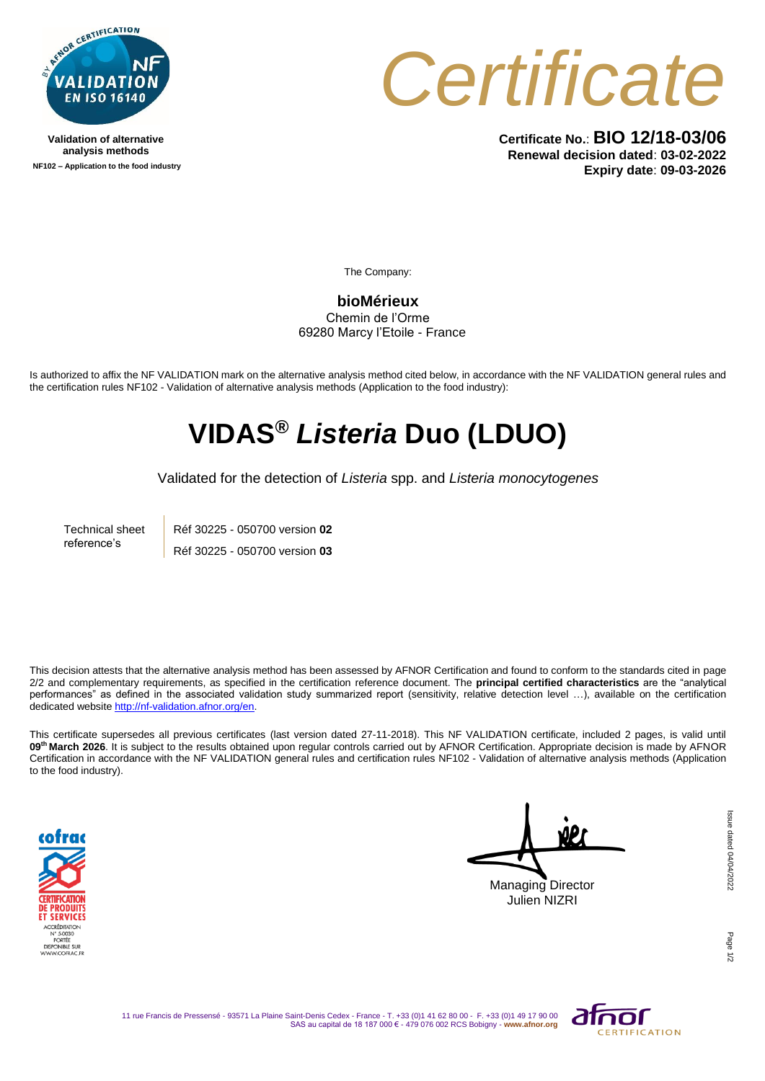

**Validation of alternative analysis methods NF102 – Application to the food industry**



**Certificate No.**: **BIO 12/18-03/06 Renewal decision dated**: **03-02-2022 Expiry date**: **09-03-2026**

The Company:

**bioMérieux** Chemin de l'Orme 69280 Marcy l'Etoile - France

Is authorized to affix the NF VALIDATION mark on the alternative analysis method cited below, in accordance with the NF VALIDATION general rules and the certification rules NF102 - Validation of alternative analysis methods (Application to the food industry):

## **VIDAS®** *Listeria* **Duo (LDUO)**

Validated for the detection of *Listeria* spp. and *Listeria monocytogenes*

Technical sheet reference's Réf 30225 - 050700 version **02** Réf 30225 - 050700 version **03**

This decision attests that the alternative analysis method has been assessed by AFNOR Certification and found to conform to the standards cited in page 2/2 and complementary requirements, as specified in the certification reference document. The **principal certified characteristics** are the "analytical performances" as defined in the associated validation study summarized report (sensitivity, relative detection level …), available on the certification dedicated websit[e http://nf-validation.afnor.org/en.](http://nf-validation.afnor.org/en)

This certificate supersedes all previous certificates (last version dated 27-11-2018). This NF VALIDATION certificate, included 2 pages, is valid until **09 th March 2026**. It is subject to the results obtained upon regular controls carried out by AFNOR Certification. Appropriate decision is made by AFNOR Certification in accordance with the NF VALIDATION general rules and certification rules NF102 - Validation of alternative analysis methods (Application to the food industry).



Managing Director Julien NIZRI

Page